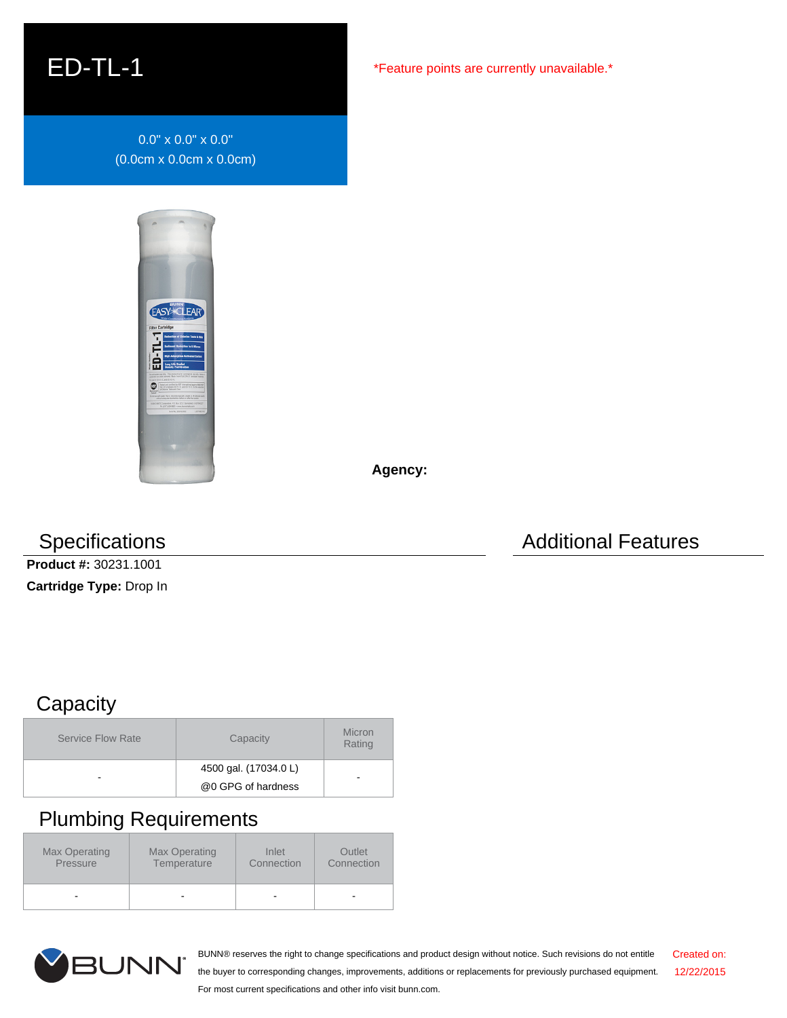## ED-TL-1

0.0" x 0.0" x 0.0" (0.0cm x 0.0cm x 0.0cm)



**Agency:**

**Product #:** 30231.1001

**Cartridge Type:** Drop In

Specifications **Additional Features** Additional Features

## **Capacity**

| <b>Service Flow Rate</b> | Capacity              | Micron<br>Rating |
|--------------------------|-----------------------|------------------|
|                          | 4500 gal. (17034.0 L) |                  |
| -                        | @0 GPG of hardness    |                  |

## Plumbing Requirements

| Max Operating<br>Max Operating<br>Pressure<br>Temperature |  | Inlet<br>Connection | Outlet<br>Connection |  |
|-----------------------------------------------------------|--|---------------------|----------------------|--|
| ٠                                                         |  | ۰                   | -                    |  |



BUNN® reserves the right to change specifications and product design without notice. Such revisions do not entitle the buyer to corresponding changes, improvements, additions or replacements for previously purchased equipment. For most current specifications and other info visit bunn.com. Created on: 12/22/2015

\*Feature points are currently unavailable.\*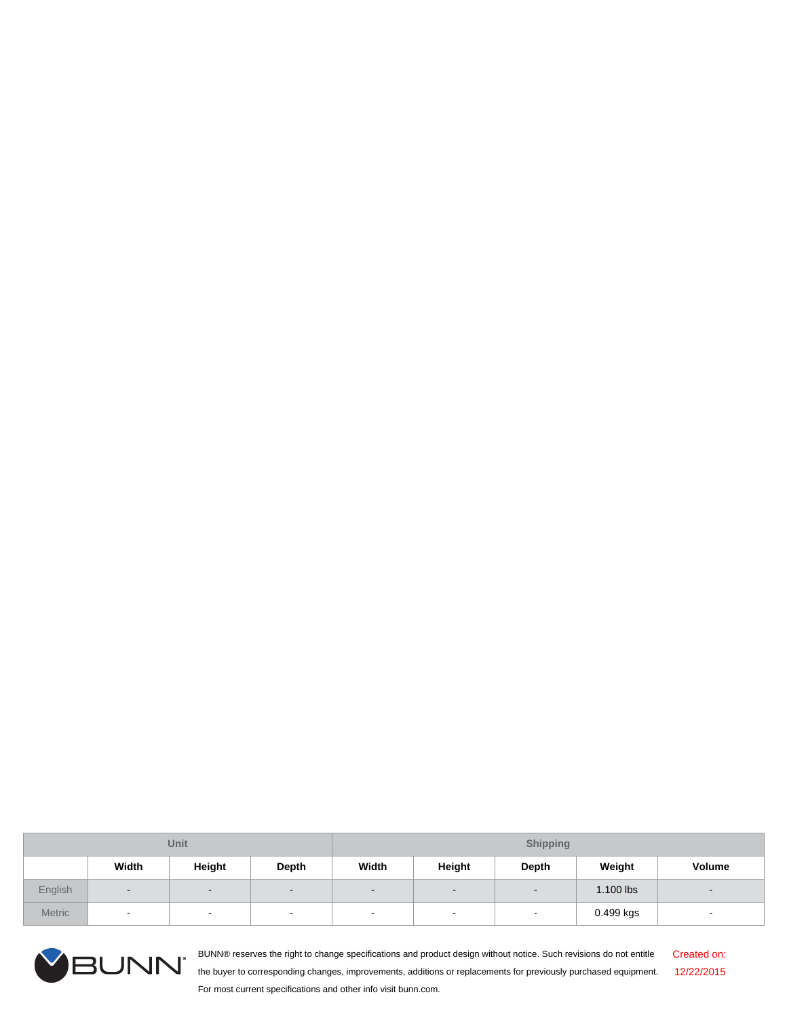| Unit          |                |                | <b>Shipping</b>          |                          |                          |                |           |        |
|---------------|----------------|----------------|--------------------------|--------------------------|--------------------------|----------------|-----------|--------|
|               | Width          | Height         | Depth                    | Width                    | Height                   | Depth          | Weight    | Volume |
| English       | $\sim$         | $\blacksquare$ | $\overline{\phantom{0}}$ | $\overline{\phantom{0}}$ | $\overline{\phantom{a}}$ | $\blacksquare$ | 1.100 lbs |        |
| <b>Metric</b> | $\blacksquare$ | $\sim$         | $\overline{\phantom{a}}$ | $\sim$                   | $\sim$                   | $\sim$         | 0.499 kgs | $\sim$ |



BUNN® reserves the right to change specifications and product design without notice. Such revisions do not entitle the buyer to corresponding changes, improvements, additions or replacements for previously purchased equipment. For most current specifications and other info visit bunn.com. Created on: 12/22/2015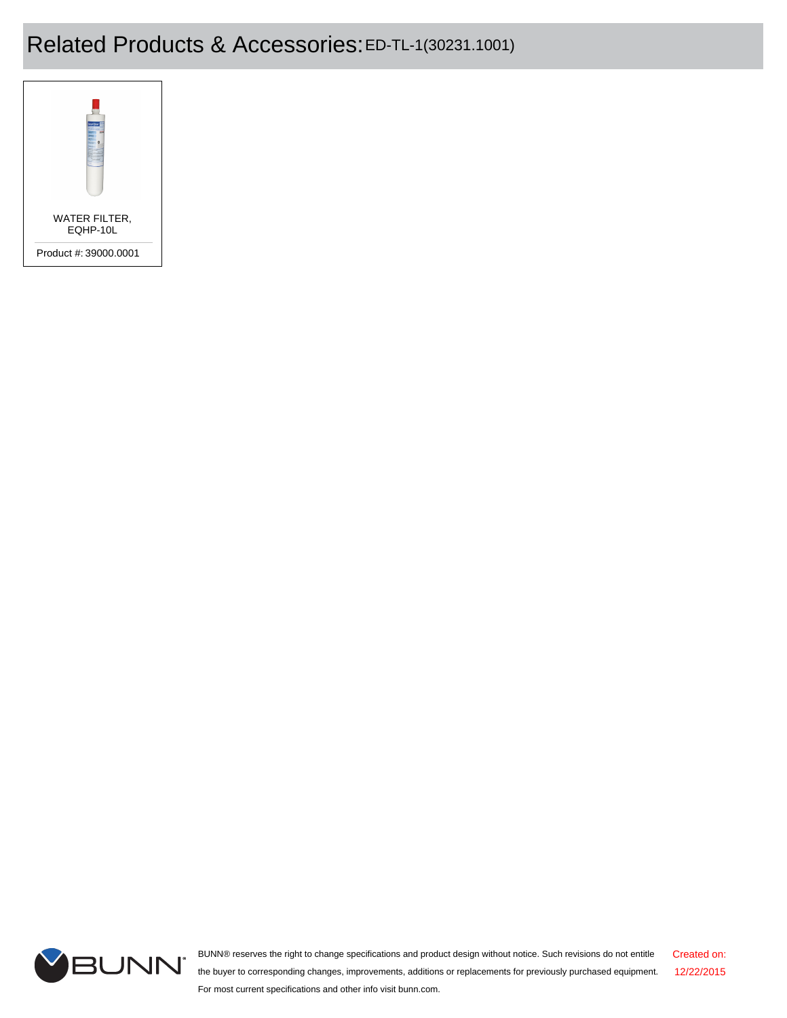## Related Products & Accessories:ED-TL-1(30231.1001)





BUNN® reserves the right to change specifications and product design without notice. Such revisions do not entitle the buyer to corresponding changes, improvements, additions or replacements for previously purchased equipment. For most current specifications and other info visit bunn.com. Created on: 12/22/2015